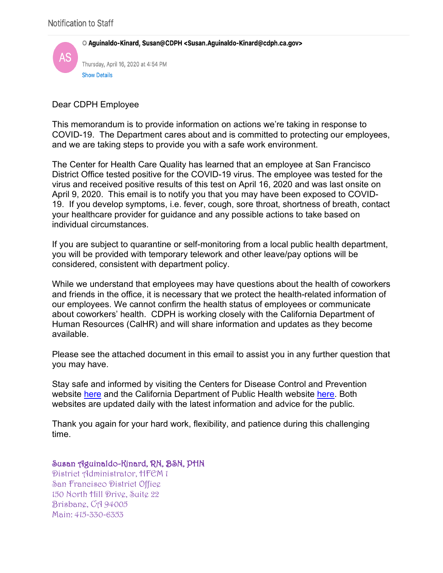O Aguinaldo-Kinard, Susan@CDPH <Susan.Aguinaldo-Kinard@cdph.ca.gov>



Dear CDPH Employee

This memorandum is to provide information on actions we're taking in response to COVID-19. The Department cares about and is committed to protecting our employees, and we are taking steps to provide you with a safe work environment.

The Center for Health Care Quality has learned that an employee at San Francisco District Office tested positive for the COVID-19 virus. The employee was tested for the virus and received positive results of this test on April 16, 2020 and was last onsite on April 9, 2020. This email is to notify you that you may have been exposed to COVID-19. If you develop symptoms, i.e. fever, cough, sore throat, shortness of breath, contact your healthcare provider for guidance and any possible actions to take based on individual circumstances.

If you are subject to quarantine or self-monitoring from a local public health department, you will be provided with temporary telework and other leave/pay options will be considered, consistent with department policy.

While we understand that employees may have questions about the health of coworkers and friends in the office, it is necessary that we protect the health-related information of our employees. We cannot confirm the health status of employees or communicate about coworkers' health. CDPH is working closely with the California Department of Human Resources (CalHR) and will share information and updates as they become available.

Please see the attached document in this email to assist you in any further question that you may have.

Stay safe and informed by visiting the Centers for Disease Control and Prevention website here and the California Department of Public Health website here. Both websites are updated daily with the latest information and advice for the public.

Thank you again for your hard work, flexibility, and patience during this challenging time.

## Susan Aguinaldo-Kinard, RN, BSN, PHN

District Administrator, HFEM 1 San Francisco District Office 150 North Hill Drive, Suite 22 Brisbane, CA 94005 Main: 415-330-6353